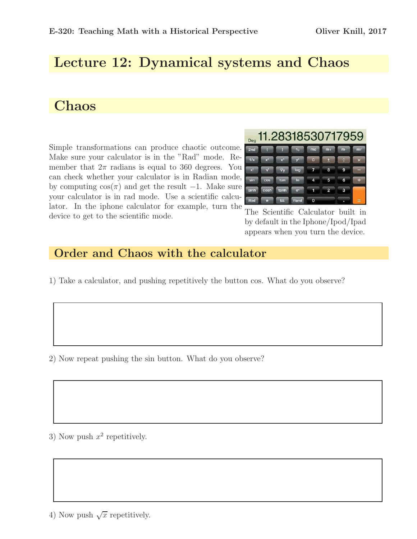## Lecture 12: Dynamical systems and Chaos

### **Chaos**

Simple transformations can produce chaotic outcome. Make sure your calculator is in the "Rad" mode. Remember that  $2\pi$  radians is equal to 360 degrees. You can check whether your calculator is in Radian mode, by computing  $cos(\pi)$  and get the result  $-1$ . Make sure your calculator is in rad mode. Use a scientific calculator. In the iphone calculator for example, turn the device to get to the scientific mode.



by default in the Iphone/Ipod/Ipad appears when you turn the device.

#### Order and Chaos with the calculator

1) Take a calculator, and pushing repetitively the button cos. What do you observe?

2) Now repeat pushing the sin button. What do you observe?

3) Now push  $x^2$  repetitively.

4) Now push  $\sqrt{x}$  repetitively.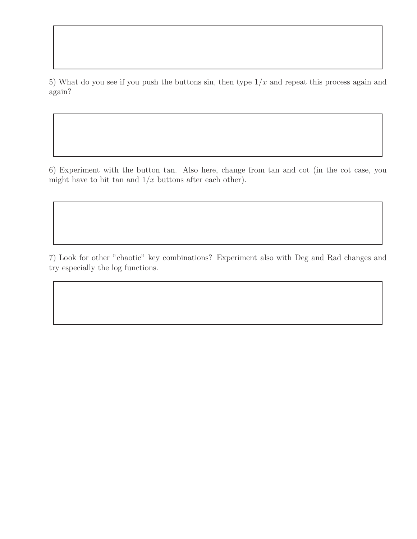5) What do you see if you push the buttons sin, then type  $1/x$  and repeat this process again and again?

6) Experiment with the button tan. Also here, change from tan and cot (in the cot case, you might have to hit tan and  $1/x$  buttons after each other).

7) Look for other "chaotic" key combinations? Experiment also with Deg and Rad changes and try especially the log functions.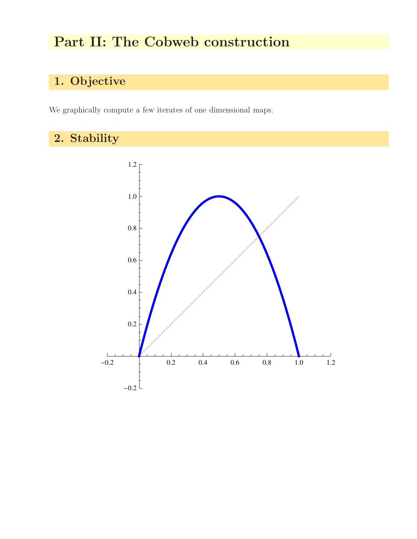# Part II: The Cobweb construction

### 1. Objective

We graphically compute a few iterates of one dimensional maps.

## 2. Stability

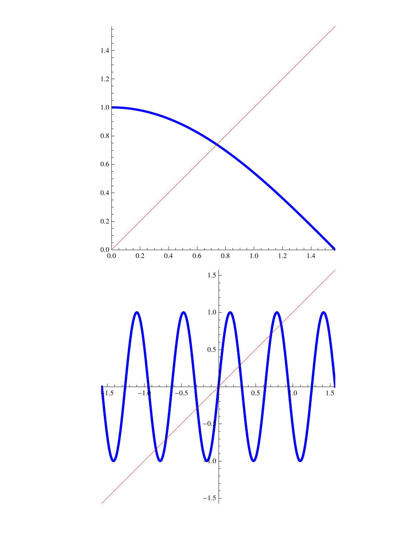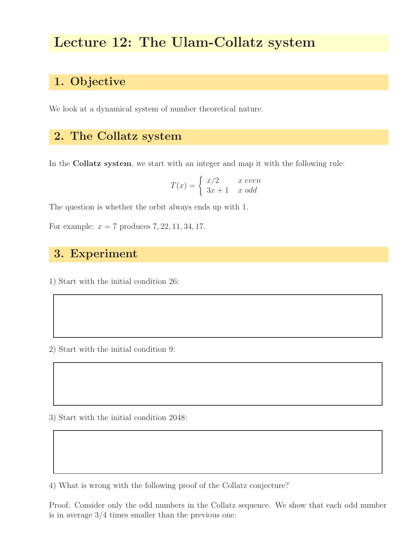### Lecture 12: The Ulam-Collatz system

#### 1. Objective

We look at a dynamical system of number theoretical nature.

#### 2. The Collatz system

In the Collatz system, we start with an integer and map it with the following rule:

$$
T(x) = \begin{cases} x/2 & x \text{ even} \\ 3x + 1 & x \text{ odd} \end{cases}
$$

The question is whether the orbit always ends up with 1.

For example:  $x = 7$  produces  $7, 22, 11, 34, 17$ .

#### 3. Experiment

1) Start with the initial condition 26:

2) Start with the initial condition 9:

3) Start with the initial condition 2048:

4) What is wrong with the following proof of the Collatz conjecture?

Proof. Consider only the odd numbers in the Collatz sequence. We show that each odd number is in average 3/4 times smaller than the previous one: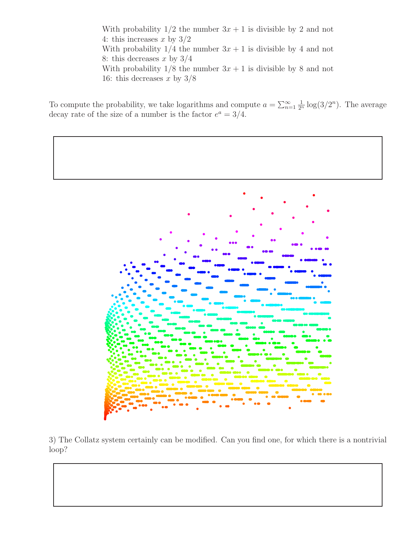With probability  $1/2$  the number  $3x + 1$  is divisible by 2 and not 4: this increases x by  $3/2$ With probability  $1/4$  the number  $3x + 1$  is divisible by 4 and not 8: this decreases x by  $3/4$ With probability  $1/8$  the number  $3x + 1$  is divisible by 8 and not 16: this decreases x by  $3/8$ 

To compute the probability, we take logarithms and compute  $a = \sum_{n=1}^{\infty} \frac{1}{2^n} \log(3/2^n)$ . The average decay rate of the size of a number is the factor  $e^a = 3/4$ .



3) The Collatz system certainly can be modified. Can you find one, for which there is a nontrivial loop?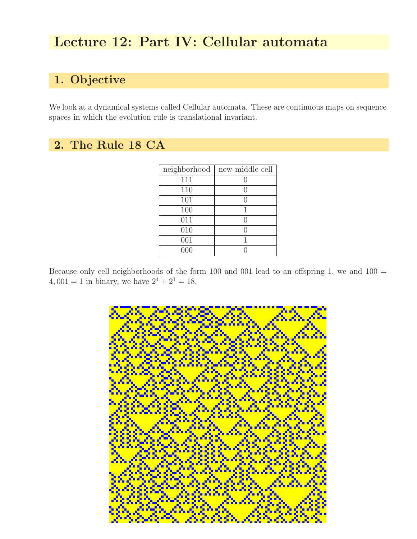## Lecture 12: Part IV: Cellular automata

### 1. Objective

We look at a dynamical systems called Cellular automata. These are continuous maps on sequence spaces in which the evolution rule is translational invariant.

### 2. The Rule 18 CA

| neighborhood | new middle cell |
|--------------|-----------------|
| 111          |                 |
| 110          |                 |
| 101          |                 |
| 100          |                 |
| 011          |                 |
| 010          |                 |
| 001          |                 |
| 000          |                 |

Because only cell neighborhoods of the form 100 and 001 lead to an offspring 1, we and  $100 =$ 4, 001 = 1 in binary, we have  $2^4 + 2^1 = 18$ .